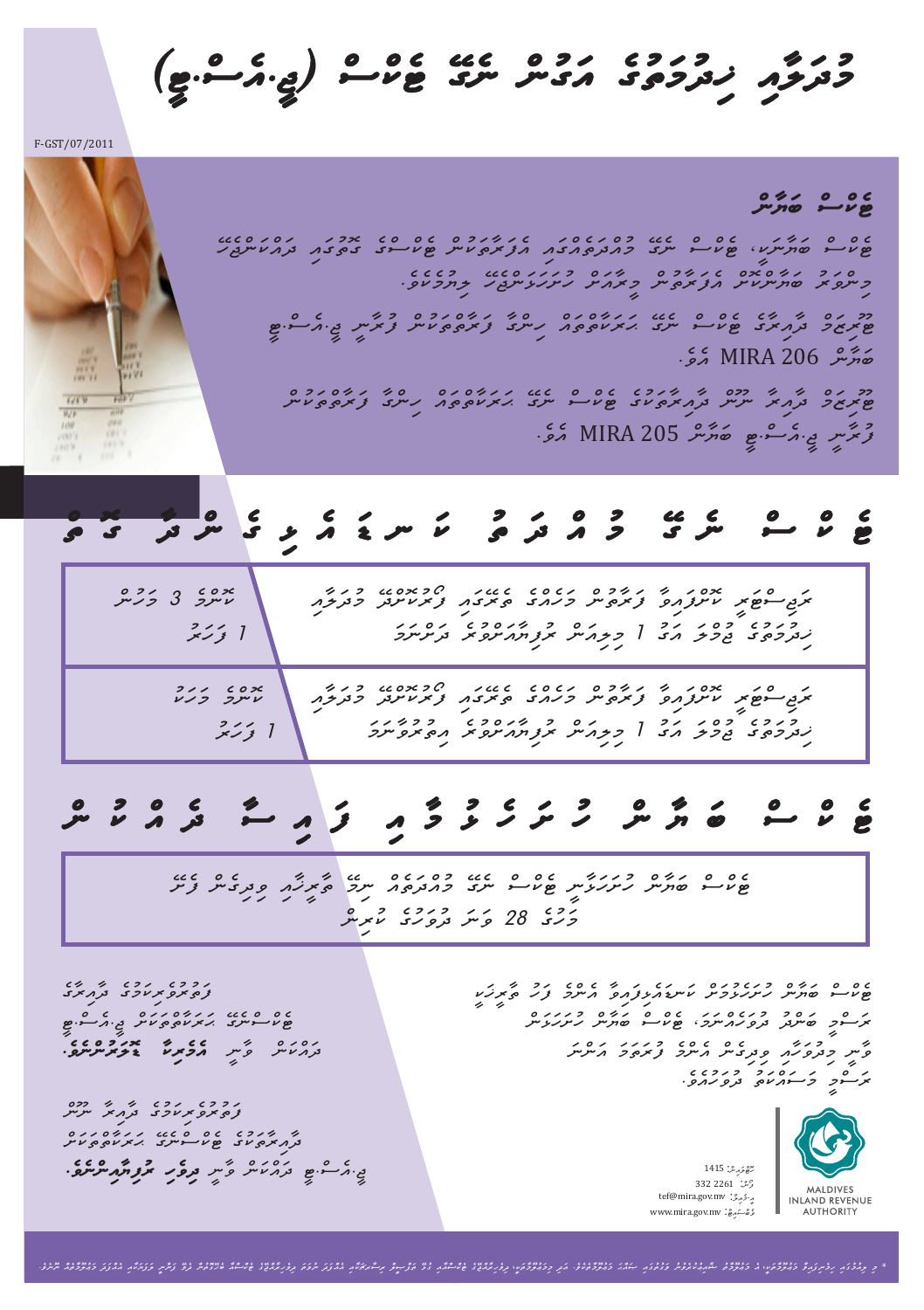*mudwlWai Kidumwtuge awgunc negE Tekcsc )jI.aesc.TI(*

F-GST/07/2011

*Tekcsc bwyWnc Tekcsc bwyWnwkI, Tekcsc negE muacdwteacgwai aefwrWtwkunc Tekcscge gotugwai dwackwncjehE mincvwru bwyWnckoSc aefwrWtunc mIrWawSc huSwhwLwncjehE liyumekeve. TUrizwmc dWairWge Tekcsc negE HwrwkWtctwac hincgW fwrWtctwkunc furWnI jI.aesc.TI*  MIRA 206 *bwyWnc aeve. TUrizwmc dWairW nUnc dWairWtwkuge Tekcsc negE HwrwkWtctwac hincgW fwrWtctwkunc*  MIRA 205 *furWnI jI.aesc.TI bwyWnc aeve.*

## *ޗ ސ ޗ ކ ެ ޓ Te kc sc ne gE mu ac dw tu kw n Dw ae Li ge nc dW go tc*

*koncme 3 mwhunc rwjiscTwrI koScfwaivW fwrWtunc mwheacge terEgwai fOrukoScdE mudwlWai 1 fwhwru Kidumwtuge jumclw awgu 1 miliawnc rufiyWawScvure dwScnwmw*  ry 1980 for 1990 for 1990 for 1990 for 1990 for 1990 for 1990 for 1990 for 1990 for 1990 for 1990 for 1990 for<br>Egg to the muddy muddy for 1990 for 1990 for 1990 for 1990 for 1990 for 1990 for 1990 for 1990 for 1990 for 19 *Kidumwtuge jumclw awgu 1 miliawnc rufiyWawScvure aituruvWnwmw koncme mwhwku 1 fwhwru*

# *Te kc sc bw yW nc hu Sw he Lu mW ai fw ai sW de ac ku nc*

*Tekcsc bwyWnc huSwhwLWnI Tekcsc negE muacdwteac nimE tWrIKWai vidigenc feSE mwhuge 82 vwnw duvwhuge kurinc*

*fwturuverikwmuge dWairWge TekcscnegE HwrwkWtctwkwSc jI.aesc.TI aemerikW Dolwruncneve. dwackwnc vWnI* 

*fwturuverikwmuge dWairW nUnc dWairWtwkuge TekcscnegE HwrwkWtctwkwSc divehi rufiyWaincneve. jI.aesc.TI dwackwnc vWnI*  *Tekcsc bwyWnc huSwheLumwSc kwnDwaeLifwaivW aencme fwhu tWrIKwkI*  .<br>**برسوم نصری** ترویر برسری نه من نه اس از مورد بر *vWnI miduvwhWai vidigenc aencme furwtwmw awncnw rwscmI mwswackwtu duvwhuaeve.*

> : *hoTclwainc* 1415 : *aI-meailc* tef@mira.gov.mv : *vebcswaiTc* www.mira.gov.mv: *fOnc* 332 2261